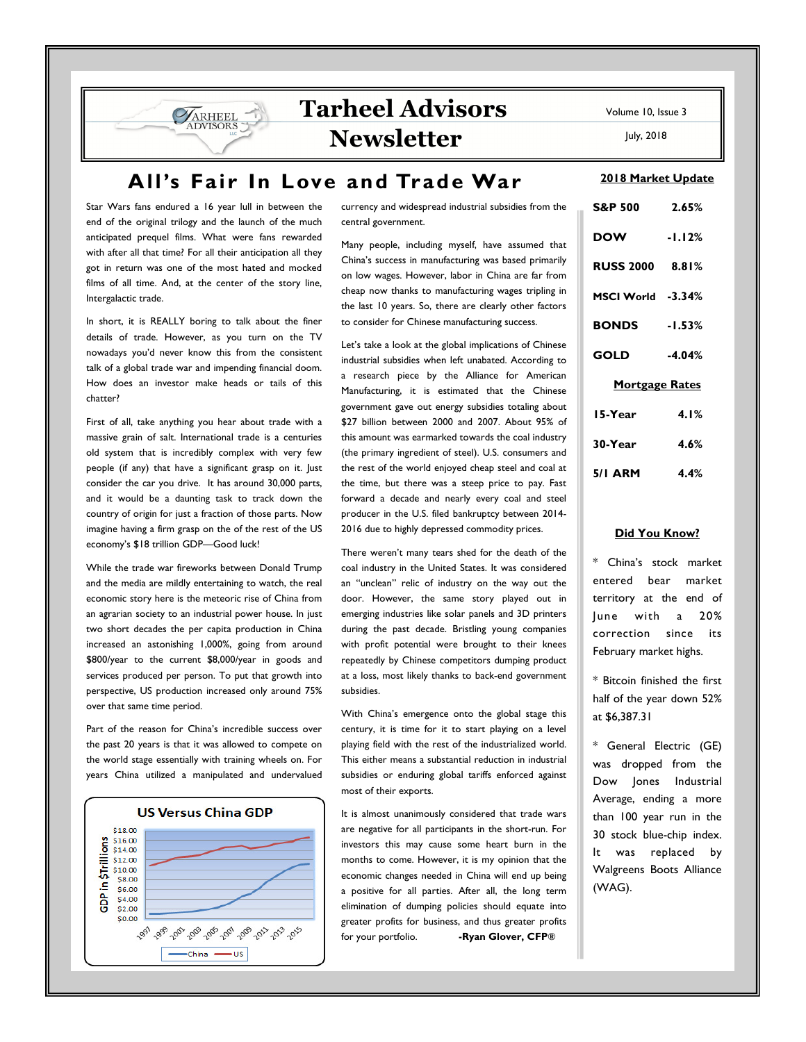# **Tarheel Advisors Newsletter**

**All's Fair In Love and Trade War** 

Star Wars fans endured a 16 year lull in between the end of the original trilogy and the launch of the much anticipated prequel films. What were fans rewarded with after all that time? For all their anticipation all they got in return was one of the most hated and mocked films of all time. And, at the center of the story line, Intergalactic trade.

**VARHEEL** 

In short, it is REALLY boring to talk about the finer details of trade. However, as you turn on the TV nowadays you'd never know this from the consistent talk of a global trade war and impending financial doom. How does an investor make heads or tails of this chatter?

First of all, take anything you hear about trade with a massive grain of salt. International trade is a centuries old system that is incredibly complex with very few people (if any) that have a significant grasp on it. Just consider the car you drive. It has around 30,000 parts, and it would be a daunting task to track down the country of origin for just a fraction of those parts. Now imagine having a firm grasp on the of the rest of the US economy's \$18 trillion GDP—Good luck!

While the trade war fireworks between Donald Trump and the media are mildly entertaining to watch, the real economic story here is the meteoric rise of China from an agrarian society to an industrial power house. In just two short decades the per capita production in China increased an astonishing 1,000%, going from around \$800/year to the current \$8,000/year in goods and services produced per person. To put that growth into perspective, US production increased only around 75% over that same time period.

Part of the reason for China's incredible success over the past 20 years is that it was allowed to compete on the world stage essentially with training wheels on. For years China utilized a manipulated and undervalued



currency and widespread industrial subsidies from the central government.

Many people, including myself, have assumed that China's success in manufacturing was based primarily on low wages. However, labor in China are far from cheap now thanks to manufacturing wages tripling in the last 10 years. So, there are clearly other factors to consider for Chinese manufacturing success.

Let's take a look at the global implications of Chinese industrial subsidies when left unabated. According to a research piece by the Alliance for American Manufacturing, it is estimated that the Chinese government gave out energy subsidies totaling about \$27 billion between 2000 and 2007. About 95% of this amount was earmarked towards the coal industry (the primary ingredient of steel). U.S. consumers and the rest of the world enjoyed cheap steel and coal at the time, but there was a steep price to pay. Fast forward a decade and nearly every coal and steel producer in the U.S. filed bankruptcy between 2014- 2016 due to highly depressed commodity prices.

There weren't many tears shed for the death of the coal industry in the United States. It was considered an "unclean" relic of industry on the way out the door. However, the same story played out in emerging industries like solar panels and 3D printers during the past decade. Bristling young companies with profit potential were brought to their knees repeatedly by Chinese competitors dumping product at a loss, most likely thanks to back-end government subsidies.

With China's emergence onto the global stage this century, it is time for it to start playing on a level playing field with the rest of the industrialized world. This either means a substantial reduction in industrial subsidies or enduring global tariffs enforced against most of their exports.

It is almost unanimously considered that trade wars are negative for all participants in the short-run. For investors this may cause some heart burn in the months to come. However, it is my opinion that the economic changes needed in China will end up being a positive for all parties. After all, the long term elimination of dumping policies should equate into greater profits for business, and thus greater profits for your portfolio. **-Ryan Glover, CFP®**

Volume 10, Issue 3

July, 2018

#### **2018 Market Update**

| <b>S&amp;P 500</b>    | 2.65%    |
|-----------------------|----------|
| <b>DOW</b>            | $-1.12%$ |
| RUSS 2000 8.81%       |          |
| MSCI World -3.34%     |          |
| <b>BONDS</b> -1.53%   |          |
| GOLD                  | $-4.04%$ |
| <b>Mortgage Rates</b> |          |
| 15-Year               | 4.1%     |
| 30-Year               | 4.6%     |
| $5/1$ ARM $4.4\%$     |          |

### **Did You Know?**

\* China's stock market entered bear market territory at the end of June with a 20% correction since its February market highs.

\* Bitcoin finished the first half of the year down 52% at \$6,387.31

\* General Electric (GE) was dropped from the Dow Jones Industrial Average, ending a more than 100 year run in the 30 stock blue-chip index. It was replaced by Walgreens Boots Alliance (WAG).